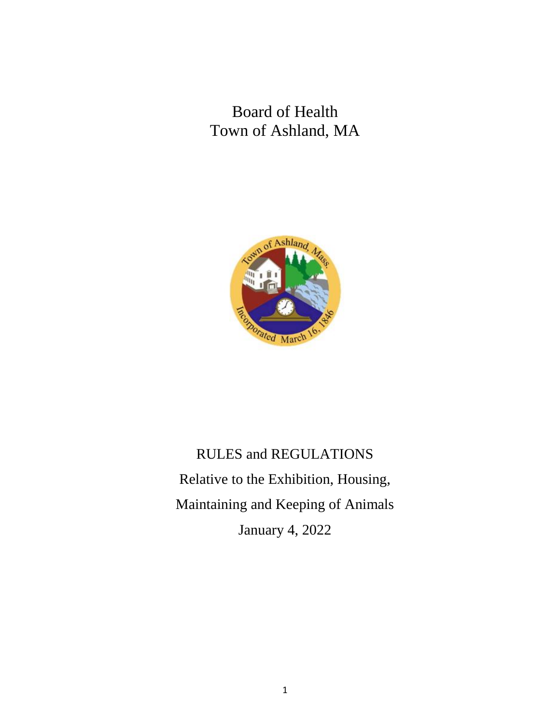Board of Health Town of Ashland, MA



RULES and REGULATIONS Relative to the Exhibition, Housing, Maintaining and Keeping of Animals January 4, 2022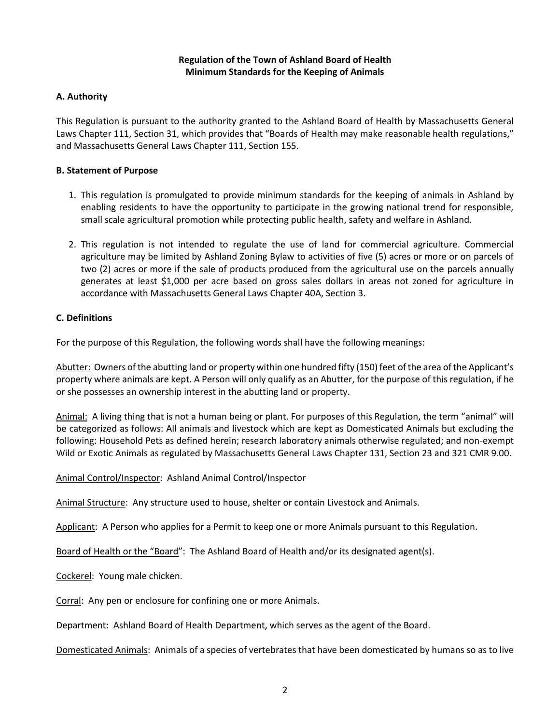## **Regulation of the Town of Ashland Board of Health Minimum Standards for the Keeping of Animals**

# **A. Authority**

This Regulation is pursuant to the authority granted to the Ashland Board of Health by Massachusetts General Laws Chapter 111, Section 31, which provides that "Boards of Health may make reasonable health regulations," and Massachusetts General Laws Chapter 111, Section 155.

#### **B. Statement of Purpose**

- 1. This regulation is promulgated to provide minimum standards for the keeping of animals in Ashland by enabling residents to have the opportunity to participate in the growing national trend for responsible, small scale agricultural promotion while protecting public health, safety and welfare in Ashland.
- 2. This regulation is not intended to regulate the use of land for commercial agriculture. Commercial agriculture may be limited by Ashland Zoning Bylaw to activities of five (5) acres or more or on parcels of two (2) acres or more if the sale of products produced from the agricultural use on the parcels annually generates at least \$1,000 per acre based on gross sales dollars in areas not zoned for agriculture in accordance with Massachusetts General Laws Chapter 40A, Section 3.

## **C. Definitions**

For the purpose of this Regulation, the following words shall have the following meanings:

Abutter: Owners of the abutting land or property within one hundred fifty (150) feet of the area of the Applicant's property where animals are kept. A Person will only qualify as an Abutter, for the purpose of this regulation, if he or she possesses an ownership interest in the abutting land or property.

Animal: A living thing that is not a human being or plant. For purposes of this Regulation, the term "animal" will be categorized as follows: All animals and livestock which are kept as Domesticated Animals but excluding the following: Household Pets as defined herein; research laboratory animals otherwise regulated; and non-exempt Wild or Exotic Animals as regulated by Massachusetts General Laws Chapter 131, Section 23 and 321 CMR 9.00.

Animal Control/Inspector: Ashland Animal Control/Inspector

Animal Structure: Any structure used to house, shelter or contain Livestock and Animals.

Applicant: A Person who applies for a Permit to keep one or more Animals pursuant to this Regulation.

Board of Health or the "Board": The Ashland Board of Health and/or its designated agent(s).

Cockerel: Young male chicken.

Corral: Any pen or enclosure for confining one or more Animals.

Department: Ashland Board of Health Department, which serves as the agent of the Board.

Domesticated Animals: Animals of a species of vertebrates that have been domesticated by humans so as to live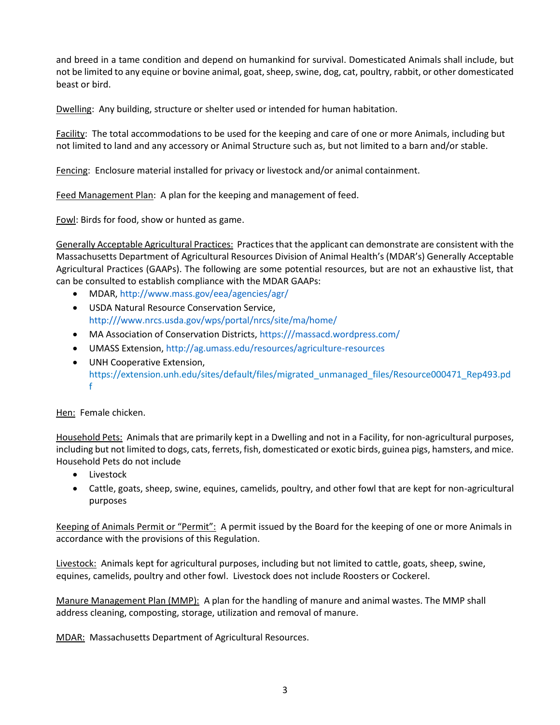and breed in a tame condition and depend on humankind for survival. Domesticated Animals shall include, but not be limited to any equine or bovine animal, goat, sheep, swine, dog, cat, poultry, rabbit, or other domesticated beast or bird.

Dwelling: Any building, structure or shelter used or intended for human habitation.

Facility: The total accommodations to be used for the keeping and care of one or more Animals, including but not limited to land and any accessory or Animal Structure such as, but not limited to a barn and/or stable.

Fencing: Enclosure material installed for privacy or livestock and/or animal containment.

Feed Management Plan: A plan for the keeping and management of feed.

Fowl: Birds for food, show or hunted as game.

Generally Acceptable Agricultural Practices: Practices that the applicant can demonstrate are consistent with the Massachusetts Department of Agricultural Resources Division of Animal Health's (MDAR's) Generally Acceptable Agricultural Practices (GAAPs). The following are some potential resources, but are not an exhaustive list, that can be consulted to establish compliance with the MDAR GAAPs:

- MDAR,<http://www.mass.gov/eea/agencies/agr/>
- USDA Natural Resource Conservation Service, [http:///www.nrcs.usda.gov/wps/portal/nrcs/site/ma/home/](http://www.nrcs.usda.gov/wps/portal/nrcs/site/ma/home/)
- MA Association of Conservation Districts, [https:///massacd.wordpress.com/](https://massacd.wordpress.com/)
- UMASS Extension[, http://ag.umass.edu/resources/agriculture-resources](http://ag.umass.edu/resources/agriculture-resources)
- UNH Cooperative Extension, https://extension.unh.edu/sites/default/files/migrated\_unmanaged\_files/Resource000471\_Rep493.pd f

Hen: Female chicken.

Household Pets: Animals that are primarily kept in a Dwelling and not in a Facility, for non-agricultural purposes, including but not limited to dogs, cats, ferrets, fish, domesticated or exotic birds, guinea pigs, hamsters, and mice. Household Pets do not include

- Livestock
- Cattle, goats, sheep, swine, equines, camelids, poultry, and other fowl that are kept for non-agricultural purposes

Keeping of Animals Permit or "Permit": A permit issued by the Board for the keeping of one or more Animals in accordance with the provisions of this Regulation.

Livestock: Animals kept for agricultural purposes, including but not limited to cattle, goats, sheep, swine, equines, camelids, poultry and other fowl. Livestock does not include Roosters or Cockerel.

Manure Management Plan (MMP): A plan for the handling of manure and animal wastes. The MMP shall address cleaning, composting, storage, utilization and removal of manure.

MDAR: Massachusetts Department of Agricultural Resources.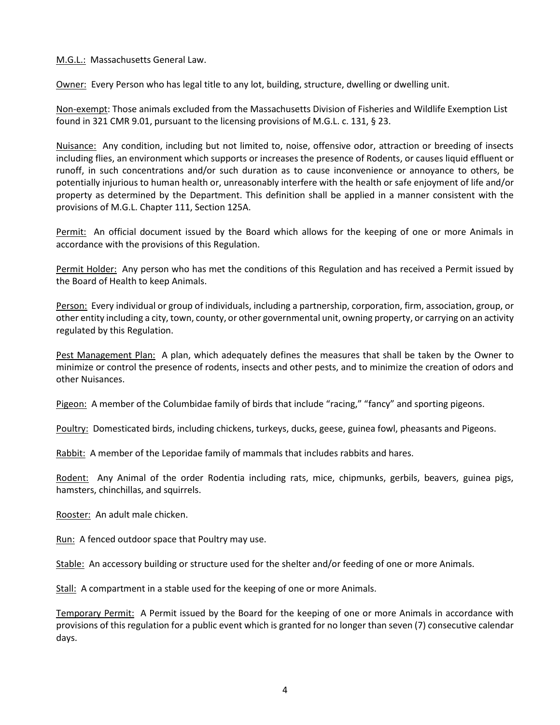M.G.L.: Massachusetts General Law.

Owner: Every Person who has legal title to any lot, building, structure, dwelling or dwelling unit.

Non-exempt: Those animals excluded from the Massachusetts Division of Fisheries and Wildlife Exemption List found in 321 CMR 9.01, pursuant to the licensing provisions of M.G.L. c. 131, § 23.

Nuisance: Any condition, including but not limited to, noise, offensive odor, attraction or breeding of insects including flies, an environment which supports or increases the presence of Rodents, or causes liquid effluent or runoff, in such concentrations and/or such duration as to cause inconvenience or annoyance to others, be potentially injurious to human health or, unreasonably interfere with the health or safe enjoyment of life and/or property as determined by the Department. This definition shall be applied in a manner consistent with the provisions of M.G.L. Chapter 111, Section 125A.

Permit: An official document issued by the Board which allows for the keeping of one or more Animals in accordance with the provisions of this Regulation.

Permit Holder: Any person who has met the conditions of this Regulation and has received a Permit issued by the Board of Health to keep Animals.

Person: Every individual or group of individuals, including a partnership, corporation, firm, association, group, or other entity including a city, town, county, or other governmental unit, owning property, or carrying on an activity regulated by this Regulation.

Pest Management Plan: A plan, which adequately defines the measures that shall be taken by the Owner to minimize or control the presence of rodents, insects and other pests, and to minimize the creation of odors and other Nuisances.

Pigeon: A member of the Columbidae family of birds that include "racing," "fancy" and sporting pigeons.

Poultry: Domesticated birds, including chickens, turkeys, ducks, geese, guinea fowl, pheasants and Pigeons.

Rabbit: A member of the Leporidae family of mammals that includes rabbits and hares.

Rodent: Any Animal of the order Rodentia including rats, mice, chipmunks, gerbils, beavers, guinea pigs, hamsters, chinchillas, and squirrels.

Rooster: An adult male chicken.

Run: A fenced outdoor space that Poultry may use.

Stable: An accessory building or structure used for the shelter and/or feeding of one or more Animals.

Stall: A compartment in a stable used for the keeping of one or more Animals.

Temporary Permit: A Permit issued by the Board for the keeping of one or more Animals in accordance with provisions of this regulation for a public event which is granted for no longer than seven (7) consecutive calendar days.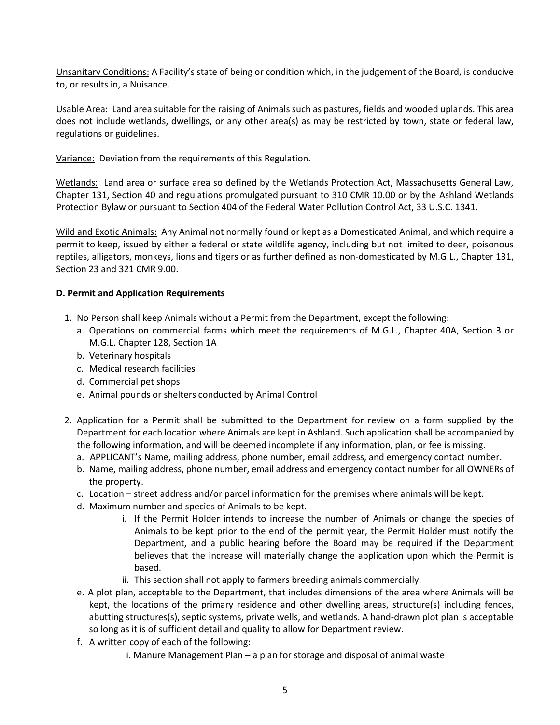Unsanitary Conditions: A Facility's state of being or condition which, in the judgement of the Board, is conducive to, or results in, a Nuisance.

Usable Area: Land area suitable for the raising of Animals such as pastures, fields and wooded uplands. This area does not include wetlands, dwellings, or any other area(s) as may be restricted by town, state or federal law, regulations or guidelines.

Variance: Deviation from the requirements of this Regulation.

Wetlands: Land area or surface area so defined by the Wetlands Protection Act, Massachusetts General Law, Chapter 131, Section 40 and regulations promulgated pursuant to 310 CMR 10.00 or by the Ashland Wetlands Protection Bylaw or pursuant to Section 404 of the Federal Water Pollution Control Act, 33 U.S.C. 1341.

Wild and Exotic Animals: Any Animal not normally found or kept as a Domesticated Animal, and which require a permit to keep, issued by either a federal or state wildlife agency, including but not limited to deer, poisonous reptiles, alligators, monkeys, lions and tigers or as further defined as non-domesticated by M.G.L., Chapter 131, Section 23 and 321 CMR 9.00.

## **D. Permit and Application Requirements**

- 1. No Person shall keep Animals without a Permit from the Department, except the following:
	- a. Operations on commercial farms which meet the requirements of M.G.L., Chapter 40A, Section 3 or M.G.L. Chapter 128, Section 1A
	- b. Veterinary hospitals
	- c. Medical research facilities
	- d. Commercial pet shops
	- e. Animal pounds or shelters conducted by Animal Control
- 2. Application for a Permit shall be submitted to the Department for review on a form supplied by the Department for each location where Animals are kept in Ashland. Such application shall be accompanied by the following information, and will be deemed incomplete if any information, plan, or fee is missing.
	- a. APPLICANT's Name, mailing address, phone number, email address, and emergency contact number.
	- b. Name, mailing address, phone number, email address and emergency contact number for all OWNERs of the property.
	- c. Location street address and/or parcel information for the premises where animals will be kept.
	- d. Maximum number and species of Animals to be kept.
		- i. If the Permit Holder intends to increase the number of Animals or change the species of Animals to be kept prior to the end of the permit year, the Permit Holder must notify the Department, and a public hearing before the Board may be required if the Department believes that the increase will materially change the application upon which the Permit is based.
		- ii. This section shall not apply to farmers breeding animals commercially.
	- e. A plot plan, acceptable to the Department, that includes dimensions of the area where Animals will be kept, the locations of the primary residence and other dwelling areas, structure(s) including fences, abutting structures(s), septic systems, private wells, and wetlands. A hand-drawn plot plan is acceptable so long as it is of sufficient detail and quality to allow for Department review.
	- f. A written copy of each of the following:
		- i. Manure Management Plan a plan for storage and disposal of animal waste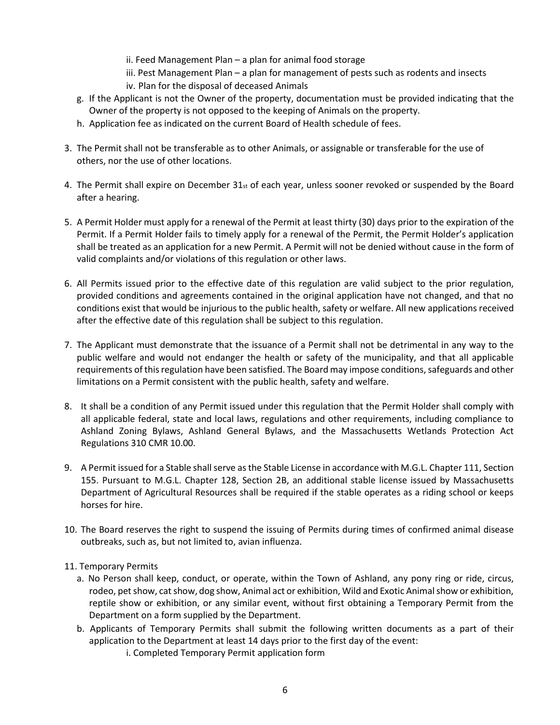- ii. Feed Management Plan a plan for animal food storage
- iii. Pest Management Plan a plan for management of pests such as rodents and insects iv. Plan for the disposal of deceased Animals
- g. If the Applicant is not the Owner of the property, documentation must be provided indicating that the Owner of the property is not opposed to the keeping of Animals on the property.
- h. Application fee as indicated on the current Board of Health schedule of fees.
- 3. The Permit shall not be transferable as to other Animals, or assignable or transferable for the use of others, nor the use of other locations.
- 4. The Permit shall expire on December 31st of each year, unless sooner revoked or suspended by the Board after a hearing.
- 5. A Permit Holder must apply for a renewal of the Permit at least thirty (30) days prior to the expiration of the Permit. If a Permit Holder fails to timely apply for a renewal of the Permit, the Permit Holder's application shall be treated as an application for a new Permit. A Permit will not be denied without cause in the form of valid complaints and/or violations of this regulation or other laws.
- 6. All Permits issued prior to the effective date of this regulation are valid subject to the prior regulation, provided conditions and agreements contained in the original application have not changed, and that no conditions exist that would be injurious to the public health, safety or welfare. All new applications received after the effective date of this regulation shall be subject to this regulation.
- 7. The Applicant must demonstrate that the issuance of a Permit shall not be detrimental in any way to the public welfare and would not endanger the health or safety of the municipality, and that all applicable requirements of this regulation have been satisfied. The Board may impose conditions, safeguards and other limitations on a Permit consistent with the public health, safety and welfare.
- 8. It shall be a condition of any Permit issued under this regulation that the Permit Holder shall comply with all applicable federal, state and local laws, regulations and other requirements, including compliance to Ashland Zoning Bylaws, Ashland General Bylaws, and the Massachusetts Wetlands Protection Act Regulations 310 CMR 10.00.
- 9. A Permit issued for a Stable shall serve as the Stable License in accordance with M.G.L. Chapter 111, Section 155. Pursuant to M.G.L. Chapter 128, Section 2B, an additional stable license issued by Massachusetts Department of Agricultural Resources shall be required if the stable operates as a riding school or keeps horses for hire.
- 10. The Board reserves the right to suspend the issuing of Permits during times of confirmed animal disease outbreaks, such as, but not limited to, avian influenza.
- 11. Temporary Permits
	- a. No Person shall keep, conduct, or operate, within the Town of Ashland, any pony ring or ride, circus, rodeo, pet show, cat show, dog show, Animal act or exhibition, Wild and Exotic Animal show or exhibition, reptile show or exhibition, or any similar event, without first obtaining a Temporary Permit from the Department on a form supplied by the Department.
	- b. Applicants of Temporary Permits shall submit the following written documents as a part of their application to the Department at least 14 days prior to the first day of the event:
		- i. Completed Temporary Permit application form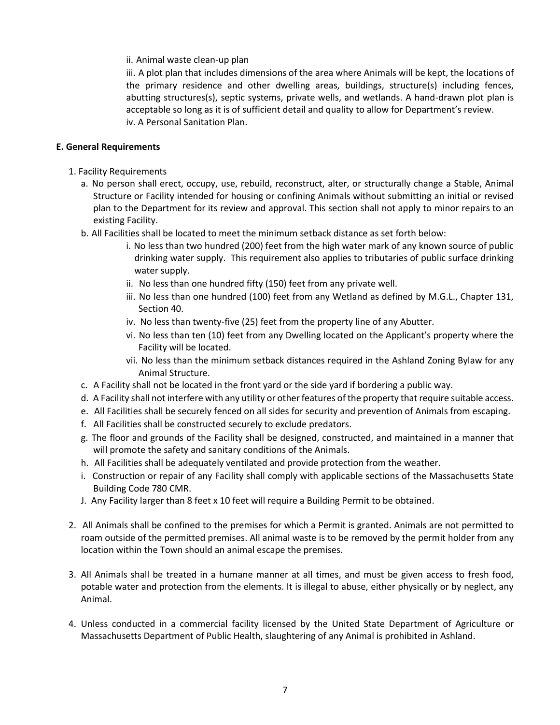ii. Animal waste clean-up plan

iii. A plot plan that includes dimensions of the area where Animals will be kept, the locations of the primary residence and other dwelling areas, buildings, structure(s) including fences, abutting structures(s), septic systems, private wells, and wetlands. A hand-drawn plot plan is acceptable so long as it is of sufficient detail and quality to allow for Department's review. iv. A Personal Sanitation Plan.

## **E. General Requirements**

- 1. Facility Requirements
	- a. No person shall erect, occupy, use, rebuild, reconstruct, alter, or structurally change a Stable, Animal Structure or Facility intended for housing or confining Animals without submitting an initial or revised plan to the Department for its review and approval. This section shall not apply to minor repairs to an existing Facility.
	- b. All Facilities shall be located to meet the minimum setback distance as set forth below:
		- i. No less than two hundred (200) feet from the high water mark of any known source of public drinking water supply. This requirement also applies to tributaries of public surface drinking water supply.
		- ii. No less than one hundred fifty (150) feet from any private well.
		- iii. No less than one hundred (100) feet from any Wetland as defined by M.G.L., Chapter 131, Section 40.
		- iv. No less than twenty-five (25) feet from the property line of any Abutter.
		- vi. No less than ten (10) feet from any Dwelling located on the Applicant's property where the Facility will be located.
		- vii. No less than the minimum setback distances required in the Ashland Zoning Bylaw for any Animal Structure.
	- c. A Facility shall not be located in the front yard or the side yard if bordering a public way.
	- d. A Facility shall not interfere with any utility or other features of the property that require suitable access.
	- e. All Facilities shall be securely fenced on all sides for security and prevention of Animals from escaping.
	- f. All Facilities shall be constructed securely to exclude predators.
	- g. The floor and grounds of the Facility shall be designed, constructed, and maintained in a manner that will promote the safety and sanitary conditions of the Animals.
	- h. All Facilities shall be adequately ventilated and provide protection from the weather.
	- i. Construction or repair of any Facility shall comply with applicable sections of the Massachusetts State Building Code 780 CMR.
	- J. Any Facility larger than 8 feet x 10 feet will require a Building Permit to be obtained.
- 2. All Animals shall be confined to the premises for which a Permit is granted. Animals are not permitted to roam outside of the permitted premises. All animal waste is to be removed by the permit holder from any location within the Town should an animal escape the premises.
- 3. All Animals shall be treated in a humane manner at all times, and must be given access to fresh food, potable water and protection from the elements. It is illegal to abuse, either physically or by neglect, any Animal.
- 4. Unless conducted in a commercial facility licensed by the United State Department of Agriculture or Massachusetts Department of Public Health, slaughtering of any Animal is prohibited in Ashland.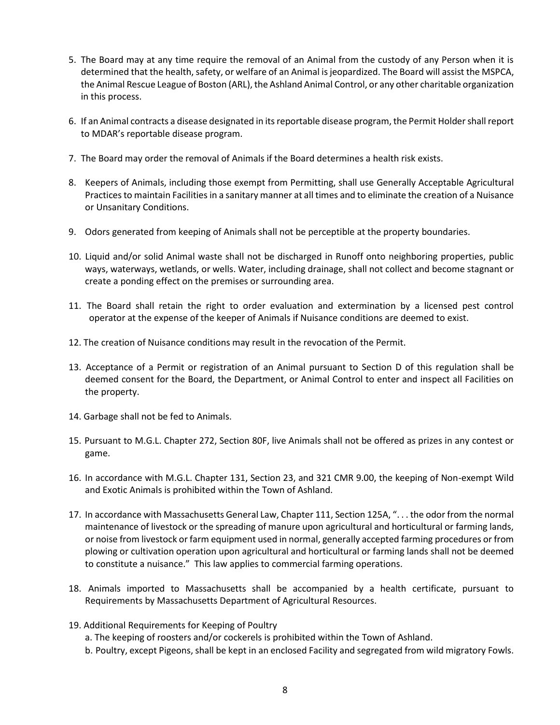- 5. The Board may at any time require the removal of an Animal from the custody of any Person when it is determined that the health, safety, or welfare of an Animal is jeopardized. The Board will assist the MSPCA, the Animal Rescue League of Boston (ARL), the Ashland Animal Control, or any other charitable organization in this process.
- 6. If an Animal contracts a disease designated in its reportable disease program, the Permit Holder shall report to MDAR's reportable disease program.
- 7. The Board may order the removal of Animals if the Board determines a health risk exists.
- 8. Keepers of Animals, including those exempt from Permitting, shall use Generally Acceptable Agricultural Practices to maintain Facilities in a sanitary manner at all times and to eliminate the creation of a Nuisance or Unsanitary Conditions.
- 9. Odors generated from keeping of Animals shall not be perceptible at the property boundaries.
- 10. Liquid and/or solid Animal waste shall not be discharged in Runoff onto neighboring properties, public ways, waterways, wetlands, or wells. Water, including drainage, shall not collect and become stagnant or create a ponding effect on the premises or surrounding area.
- 11. The Board shall retain the right to order evaluation and extermination by a licensed pest control operator at the expense of the keeper of Animals if Nuisance conditions are deemed to exist.
- 12. The creation of Nuisance conditions may result in the revocation of the Permit.
- 13. Acceptance of a Permit or registration of an Animal pursuant to Section D of this regulation shall be deemed consent for the Board, the Department, or Animal Control to enter and inspect all Facilities on the property.
- 14. Garbage shall not be fed to Animals.
- 15. Pursuant to M.G.L. Chapter 272, Section 80F, live Animals shall not be offered as prizes in any contest or game.
- 16. In accordance with M.G.L. Chapter 131, Section 23, and 321 CMR 9.00, the keeping of Non-exempt Wild and Exotic Animals is prohibited within the Town of Ashland.
- 17. In accordance with Massachusetts General Law, Chapter 111, Section 125A, ". . . the odor from the normal maintenance of livestock or the spreading of manure upon agricultural and horticultural or farming lands, or noise from livestock or farm equipment used in normal, generally accepted farming procedures or from plowing or cultivation operation upon agricultural and horticultural or farming lands shall not be deemed to constitute a nuisance." This law applies to commercial farming operations.
- 18. Animals imported to Massachusetts shall be accompanied by a health certificate, pursuant to Requirements by Massachusetts Department of Agricultural Resources.
- 19. Additional Requirements for Keeping of Poultry
	- a. The keeping of roosters and/or cockerels is prohibited within the Town of Ashland.
	- b. Poultry, except Pigeons, shall be kept in an enclosed Facility and segregated from wild migratory Fowls.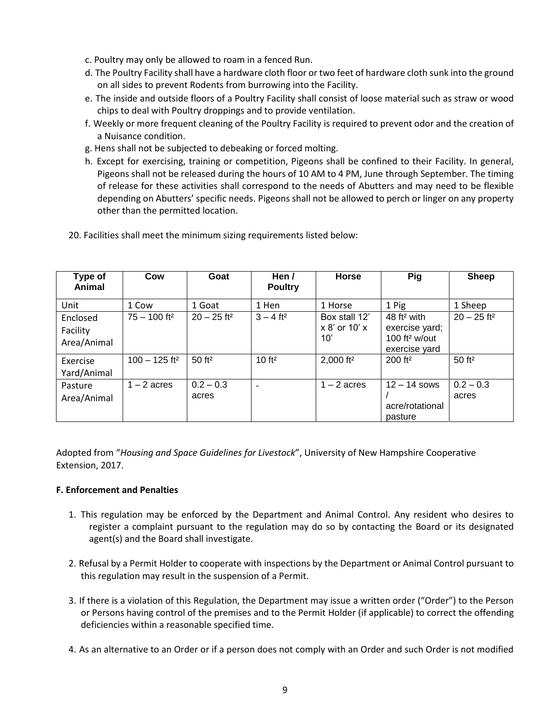- c. Poultry may only be allowed to roam in a fenced Run.
- d. The Poultry Facility shall have a hardware cloth floor or two feet of hardware cloth sunk into the ground on all sides to prevent Rodents from burrowing into the Facility.
- e. The inside and outside floors of a Poultry Facility shall consist of loose material such as straw or wood chips to deal with Poultry droppings and to provide ventilation.
- f. Weekly or more frequent cleaning of the Poultry Facility is required to prevent odor and the creation of a Nuisance condition.
- g. Hens shall not be subjected to debeaking or forced molting.
- h. Except for exercising, training or competition, Pigeons shall be confined to their Facility. In general, Pigeons shall not be released during the hours of 10 AM to 4 PM, June through September. The timing of release for these activities shall correspond to the needs of Abutters and may need to be flexible depending on Abutters' specific needs. Pigeons shall not be allowed to perch or linger on any property other than the permitted location.

| Type of<br>Animal                   | Cow                         | Goat                      | Hen /<br><b>Poultry</b>  | <b>Horse</b>                              | Pig                                                                                     | <b>Sheep</b>              |
|-------------------------------------|-----------------------------|---------------------------|--------------------------|-------------------------------------------|-----------------------------------------------------------------------------------------|---------------------------|
| Unit                                | 1 Cow                       | 1 Goat                    | 1 Hen                    | 1 Horse                                   | 1 Pig                                                                                   | 1 Sheep                   |
| Enclosed<br>Facility<br>Area/Animal | $75 - 100$ ft <sup>2</sup>  | $20 - 25$ ft <sup>2</sup> | $3 - 4$ ft <sup>2</sup>  | Box stall 12'<br>$x 8'$ or 10' $x$<br>10' | 48 ft <sup>2</sup> with<br>exercise yard;<br>100 ft <sup>2</sup> w/out<br>exercise yard | $20 - 25$ ft <sup>2</sup> |
| Exercise<br>Yard/Animal             | $100 - 125$ ft <sup>2</sup> | 50 ft <sup>2</sup>        | 10 ft <sup>2</sup>       | 2,000 ft <sup>2</sup>                     | $200$ ft <sup>2</sup>                                                                   | 50 ft <sup>2</sup>        |
| Pasture<br>Area/Animal              | $1 - 2$ acres               | $0.2 - 0.3$<br>acres      | $\overline{\phantom{a}}$ | $1 - 2$ acres                             | $12 - 14$ sows<br>acre/rotational<br>pasture                                            | $0.2 - 0.3$<br>acres      |

20. Facilities shall meet the minimum sizing requirements listed below:

Adopted from "*Housing and Space Guidelines for Livestock*", University of New Hampshire Cooperative Extension, 2017.

#### **F. Enforcement and Penalties**

- 1. This regulation may be enforced by the Department and Animal Control. Any resident who desires to register a complaint pursuant to the regulation may do so by contacting the Board or its designated agent(s) and the Board shall investigate.
- 2. Refusal by a Permit Holder to cooperate with inspections by the Department or Animal Control pursuant to this regulation may result in the suspension of a Permit.
- 3. If there is a violation of this Regulation, the Department may issue a written order ("Order") to the Person or Persons having control of the premises and to the Permit Holder (if applicable) to correct the offending deficiencies within a reasonable specified time.
- 4. As an alternative to an Order or if a person does not comply with an Order and such Order is not modified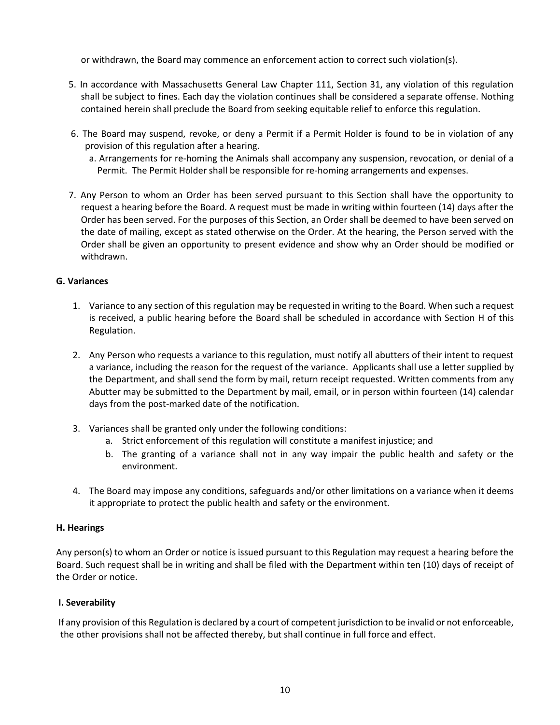or withdrawn, the Board may commence an enforcement action to correct such violation(s).

- 5. In accordance with Massachusetts General Law Chapter 111, Section 31, any violation of this regulation shall be subject to fines. Each day the violation continues shall be considered a separate offense. Nothing contained herein shall preclude the Board from seeking equitable relief to enforce this regulation.
- 6. The Board may suspend, revoke, or deny a Permit if a Permit Holder is found to be in violation of any provision of this regulation after a hearing.
	- a. Arrangements for re-homing the Animals shall accompany any suspension, revocation, or denial of a Permit. The Permit Holder shall be responsible for re-homing arrangements and expenses.
- 7. Any Person to whom an Order has been served pursuant to this Section shall have the opportunity to request a hearing before the Board. A request must be made in writing within fourteen (14) days after the Order has been served. For the purposes of this Section, an Order shall be deemed to have been served on the date of mailing, except as stated otherwise on the Order. At the hearing, the Person served with the Order shall be given an opportunity to present evidence and show why an Order should be modified or withdrawn.

## **G. Variances**

- 1. Variance to any section of this regulation may be requested in writing to the Board. When such a request is received, a public hearing before the Board shall be scheduled in accordance with Section H of this Regulation.
- 2. Any Person who requests a variance to this regulation, must notify all abutters of their intent to request a variance, including the reason for the request of the variance. Applicants shall use a letter supplied by the Department, and shall send the form by mail, return receipt requested. Written comments from any Abutter may be submitted to the Department by mail, email, or in person within fourteen (14) calendar days from the post-marked date of the notification.
- 3. Variances shall be granted only under the following conditions:
	- a. Strict enforcement of this regulation will constitute a manifest injustice; and
	- b. The granting of a variance shall not in any way impair the public health and safety or the environment.
- 4. The Board may impose any conditions, safeguards and/or other limitations on a variance when it deems it appropriate to protect the public health and safety or the environment.

#### **H. Hearings**

Any person(s) to whom an Order or notice is issued pursuant to this Regulation may request a hearing before the Board. Such request shall be in writing and shall be filed with the Department within ten (10) days of receipt of the Order or notice.

# **I. Severability**

If any provision of this Regulation is declared by a court of competent jurisdiction to be invalid or not enforceable, the other provisions shall not be affected thereby, but shall continue in full force and effect.